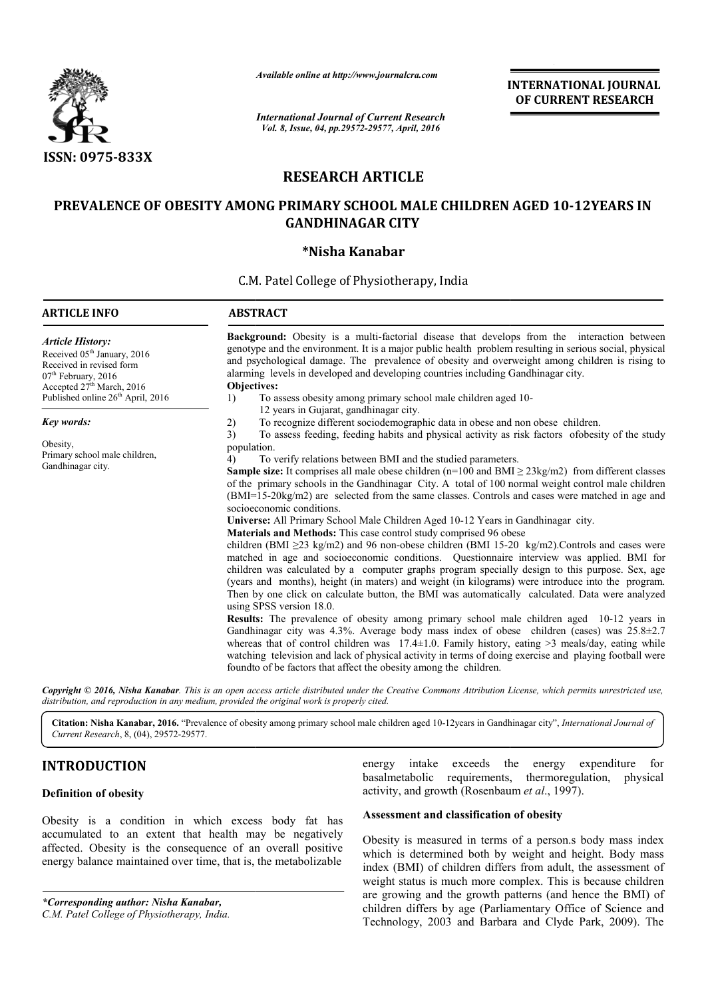

*Available online at http://www.journalcra.com*

*International Journal of Current Research Vol. 8, Issue, 04, pp.29572-29577, April, 2016*

**INTERNATIONAL JOURNAL OF CURRENT RESEARCH** 

# **RESEARCH ARTICLE**

# PREVALENCE OF OBESITY AMONG PRIMARY SCHOOL MALE CHILDREN AGED 10-12YEARS IN **GANDHINAGAR CITY**

# **\*Nisha Kanabar**

C.M. Patel College of Physiotherapy, India

| <b>ARTICLE INFO</b>                                                                                                                                                                                                         | <b>ABSTRACT</b>                                                                                                                                                                                                                                                                                                                                                                                                                                                                                                                                                                                                                                                                                                                                                                                                                                                                                                                                                                                                                                                                                                                                                                                                                                                                                                                                                                                                                                                                                                                                                                                                                                                                                                                                             |
|-----------------------------------------------------------------------------------------------------------------------------------------------------------------------------------------------------------------------------|-------------------------------------------------------------------------------------------------------------------------------------------------------------------------------------------------------------------------------------------------------------------------------------------------------------------------------------------------------------------------------------------------------------------------------------------------------------------------------------------------------------------------------------------------------------------------------------------------------------------------------------------------------------------------------------------------------------------------------------------------------------------------------------------------------------------------------------------------------------------------------------------------------------------------------------------------------------------------------------------------------------------------------------------------------------------------------------------------------------------------------------------------------------------------------------------------------------------------------------------------------------------------------------------------------------------------------------------------------------------------------------------------------------------------------------------------------------------------------------------------------------------------------------------------------------------------------------------------------------------------------------------------------------------------------------------------------------------------------------------------------------|
| <b>Article History:</b><br>Received 05 <sup>th</sup> January, 2016<br>Received in revised form<br>07 <sup>th</sup> February, 2016<br>Accepted 27 <sup>th</sup> March, 2016<br>Published online 26 <sup>th</sup> April, 2016 | Background: Obesity is a multi-factorial disease that develops from the interaction between<br>genotype and the environment. It is a major public health problem resulting in serious social, physical<br>and psychological damage. The prevalence of obesity and overweight among children is rising to<br>alarming levels in developed and developing countries including Gandhinagar city.<br>Objectives:<br>To assess obesity among primary school male children aged 10-<br>1)                                                                                                                                                                                                                                                                                                                                                                                                                                                                                                                                                                                                                                                                                                                                                                                                                                                                                                                                                                                                                                                                                                                                                                                                                                                                         |
| <b>Key words:</b>                                                                                                                                                                                                           | 12 years in Gujarat, gandhinagar city.<br>To recognize different sociodemographic data in obese and non obese children.<br>2)                                                                                                                                                                                                                                                                                                                                                                                                                                                                                                                                                                                                                                                                                                                                                                                                                                                                                                                                                                                                                                                                                                                                                                                                                                                                                                                                                                                                                                                                                                                                                                                                                               |
| Obesity,<br>Primary school male children,<br>Gandhinagar city.                                                                                                                                                              | To assess feeding, feeding habits and physical activity as risk factors of obesity of the study<br>3)<br>population.<br>To verify relations between BMI and the studied parameters.<br>4)<br><b>Sample size:</b> It comprises all male obese children ( $n=100$ and BMI $\geq 23$ kg/m2) from different classes<br>of the primary schools in the Gandhinagar City. A total of 100 normal weight control male children<br>(BMI=15-20kg/m2) are selected from the same classes. Controls and cases were matched in age and<br>socioeconomic conditions.<br>Universe: All Primary School Male Children Aged 10-12 Years in Gandhinagar city.<br>Materials and Methods: This case control study comprised 96 obese<br>children (BMI $\geq$ 23 kg/m2) and 96 non-obese children (BMI 15-20 kg/m2). Controls and cases were<br>matched in age and socioeconomic conditions. Questionnaire interview was applied. BMI for<br>children was calculated by a computer graphs program specially design to this purpose. Sex, age<br>(years and months), height (in maters) and weight (in kilograms) were introduce into the program.<br>Then by one click on calculate button, the BMI was automatically calculated. Data were analyzed<br>using SPSS version 18.0.<br><b>Results:</b> The prevalence of obesity among primary school male children aged 10-12 years in<br>Gandhinagar city was 4.3%. Average body mass index of obese children (cases) was $25.8 \pm 2.7$<br>whereas that of control children was $17.4 \pm 1.0$ . Family history, eating >3 meals/day, eating while<br>watching television and lack of physical activity in terms of doing exercise and playing football were<br>found to of be factors that affect the obesity among the children. |

Copyright © 2016, Nisha Kanabar. This is an open access article distributed under the Creative Commons Attribution License, which permits unrestricted use, *distribution, and reproduction in any medium, provided the original work is properly cited.*

Citation: Nisha Kanabar, 2016. "Prevalence of obesity among primary school male children aged 10-12years in Gandhinagar city", *International Journal of Current Research*, 8, (04), 29572-29577.

# **INTRODUCTION**

## **Definition of obesity**

Obesity is a condition in which excess body fat has accumulated to an extent that health may be negatively affected. Obesity is the consequence of an overall positive energy balance maintained over time, that is, the metabolizable

*\*Corresponding author: Nisha Kanabar,*

*C.M. Patel College of Physiotherapy, India.*

energy intake exceeds the energy expenditure for basalmetabolic requirements, thermoregulation, physical basalmetabolic requirements, thermoregulation, physical activity, and growth (Rosenbaum *et al*., 1997).

## **Assessment and classification of obesity classification of**

Obesity is measured in terms of a person.s body mass index which is determined both by weight and height. Body mass index (BMI) of children differs from adult, the assessment of weight status is much more complex. This is because children are growing and the growth patterns (and hence the BMI) of children differs by age (Parliamentary Office of Science and index (BMI) of children differs from adult, the assessment of weight status is much more complex. This is because children are growing and the growth patterns (and hence the BMI) of children differs by age (Parliamentary O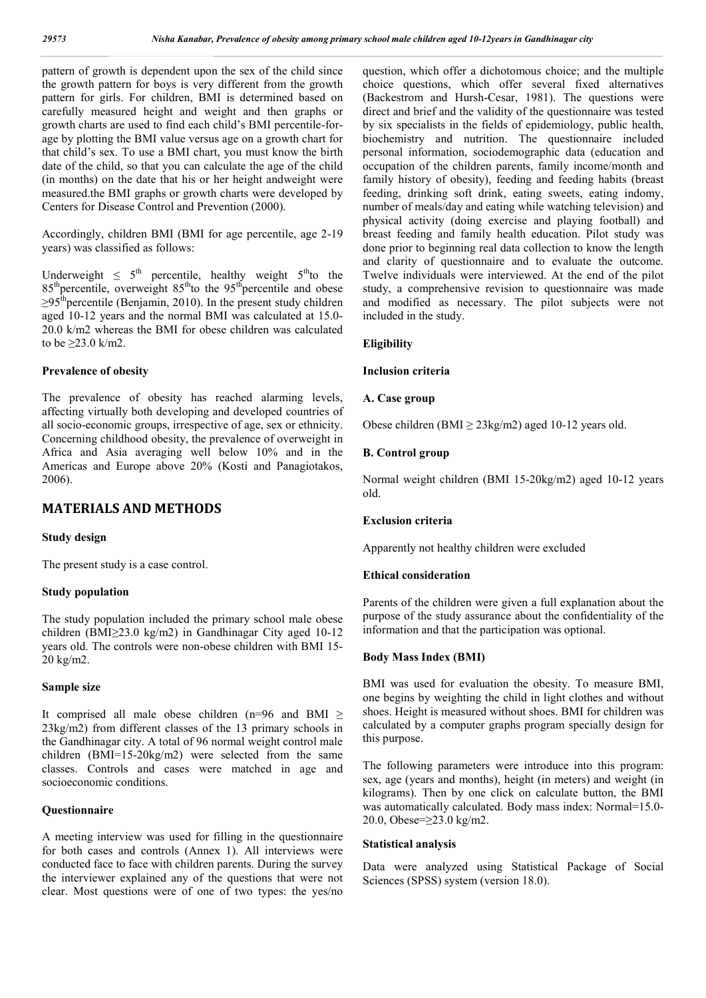pattern of growth is dependent upon the sex of the child since the growth pattern for boys is very different from the growth pattern for girls. For children, BMI is determined based on carefully measured height and weight and then graphs or growth charts are used to find each child's BMI percentile-forage by plotting the BMI value versus age on a growth chart for that child's sex. To use a BMI chart, you must know the birth date of the child, so that you can calculate the age of the child (in months) on the date that his or her height andweight were measured.the BMI graphs or growth charts were developed by Centers for Disease Control and Prevention (2000).

Accordingly, children BMI (BMI for age percentile, age 2-19 years) was classified as follows:

Underweight  $\leq 5^{th}$  percentile, healthy weight  $5^{th}$ to the  $85<sup>th</sup>$  percentile, overweight  $85<sup>th</sup>$  to the 95<sup>th</sup> percentile and obese  $\geq$ 95<sup>th</sup>percentile (Benjamin, 2010). In the present study children aged 10-12 years and the normal BMI was calculated at 15.0- 20.0 k/m2 whereas the BMI for obese children was calculated to be ≥23.0 k/m2.

## **Prevalence of obesity**

The prevalence of obesity has reached alarming levels, affecting virtually both developing and developed countries of all socio-economic groups, irrespective of age, sex or ethnicity. Concerning childhood obesity, the prevalence of overweight in Africa and Asia averaging well below 10% and in the Americas and Europe above 20% (Kosti and Panagiotakos, 2006).

## **MATERIALS AND METHODS**

#### **Study design**

The present study is a case control.

## **Study population**

The study population included the primary school male obese children (BMI≥23.0 kg/m2) in Gandhinagar City aged 10-12 years old. The controls were non-obese children with BMI 15- 20 kg/m2.

#### **Sample size**

It comprised all male obese children (n=96 and BMI  $\geq$ 23kg/m2) from different classes of the 13 primary schools in the Gandhinagar city. A total of 96 normal weight control male children (BMI=15-20kg/m2) were selected from the same classes. Controls and cases were matched in age and socioeconomic conditions.

## **Questionnaire**

A meeting interview was used for filling in the questionnaire for both cases and controls (Annex 1). All interviews were conducted face to face with children parents. During the survey the interviewer explained any of the questions that were not clear. Most questions were of one of two types: the yes/no

question, which offer a dichotomous choice; and the multiple choice questions, which offer several fixed alternatives (Backestrom and Hursh-Cesar, 1981). The questions were direct and brief and the validity of the questionnaire was tested by six specialists in the fields of epidemiology, public health, biochemistry and nutrition. The questionnaire included personal information, sociodemographic data (education and occupation of the children parents, family income/month and family history of obesity), feeding and feeding habits (breast feeding, drinking soft drink, eating sweets, eating indomy, number of meals/day and eating while watching television) and physical activity (doing exercise and playing football) and breast feeding and family health education. Pilot study was done prior to beginning real data collection to know the length and clarity of questionnaire and to evaluate the outcome. Twelve individuals were interviewed. At the end of the pilot study, a comprehensive revision to questionnaire was made and modified as necessary. The pilot subjects were not included in the study.

#### **Eligibility**

#### **Inclusion criteria**

#### **A. Case group**

Obese children (BMI  $\geq$  23kg/m2) aged 10-12 years old.

#### **B. Control group**

Normal weight children (BMI 15-20kg/m2) aged 10-12 years old.

#### **Exclusion criteria**

Apparently not healthy children were excluded

#### **Ethical consideration**

Parents of the children were given a full explanation about the purpose of the study assurance about the confidentiality of the information and that the participation was optional.

### **Body Mass Index (BMI)**

BMI was used for evaluation the obesity. To measure BMI, one begins by weighting the child in light clothes and without shoes. Height is measured without shoes. BMI for children was calculated by a computer graphs program specially design for this purpose.

The following parameters were introduce into this program: sex, age (years and months), height (in meters) and weight (in kilograms). Then by one click on calculate button, the BMI was automatically calculated. Body mass index: Normal=15.0- 20.0, Obese=≥23.0 kg/m2.

#### **Statistical analysis**

Data were analyzed using Statistical Package of Social Sciences (SPSS) system (version 18.0).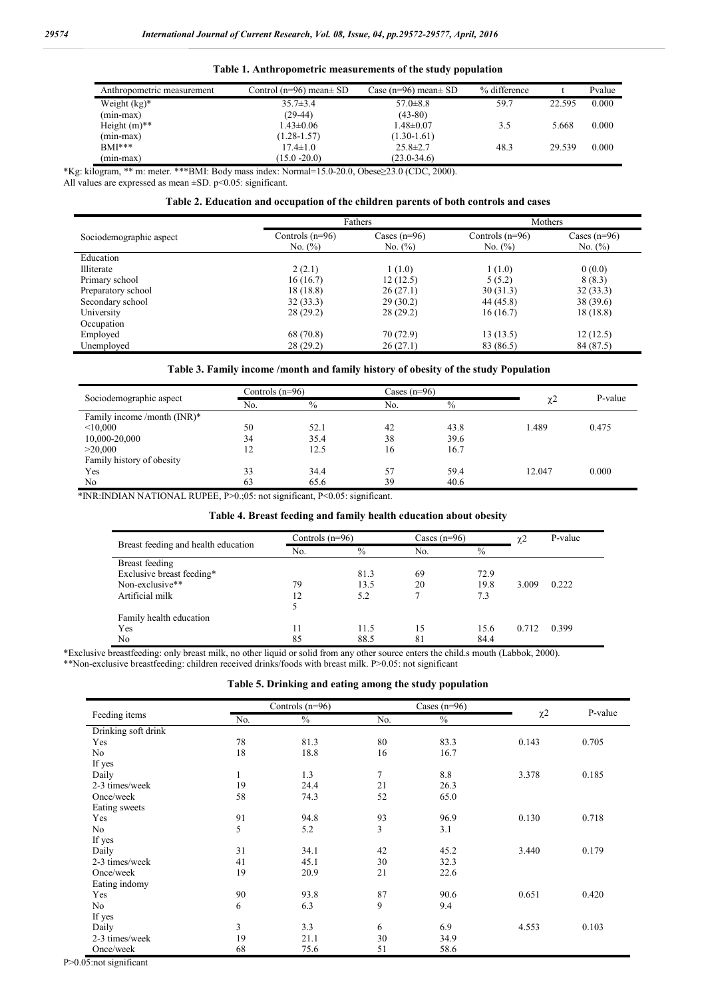|                            |                              | .                             |              |        |        |
|----------------------------|------------------------------|-------------------------------|--------------|--------|--------|
| Anthropometric measurement | Control (n=96) mean $\pm$ SD | Case ( $n=96$ ) mean $\pm$ SD | % difference |        | Pvalue |
| Weight $(kg)^*$            | $35.7\pm3.4$                 | $57.0 \pm 8.8$                | 59.7         | 22.595 | 0.000  |
| $(min-max)$                | $(29-44)$                    | $(43-80)$                     |              |        |        |
| Height $(m)$ **            | $1.43 \pm 0.06$              | $1.48 \pm 0.07$               | 3.5          | 5.668  | 0.000  |
| $(min-max)$                | $(1.28 - 1.57)$              | $(1.30 - 1.61)$               |              |        |        |
| $BMI***$                   | $17.4 \pm 1.0$               | $25.8 \pm 2.7$                | 48.3         | 29.539 | 0.000  |
| (min-max)                  | $(15.0 - 20.0)$              | $(23.0 - 34.6)$               |              |        |        |

## **Table 1. Anthropometric measurements of the study population**

\*Kg: kilogram, \*\* m: meter. \*\*\*BMI: Body mass index: Normal=15.0-20.0, Obese≥23.0 (CDC, 2000).

All values are expressed as mean  $\pm$ SD. p<0.05: significant.

#### **Table 2. Education and occupation of the children parents of both controls and cases**

|                         |                                  | Fathers                      | Mothers                          |                              |  |
|-------------------------|----------------------------------|------------------------------|----------------------------------|------------------------------|--|
| Sociodemographic aspect | Controls $(n=96)$<br>No. $(\% )$ | Cases $(n=96)$<br>No. $(\%)$ | Controls $(n=96)$<br>No. $(\% )$ | Cases $(n=96)$<br>No. $(\%)$ |  |
| Education               |                                  |                              |                                  |                              |  |
| Illiterate              | 2(2.1)                           | 1(1.0)                       | 1(1.0)                           | 0(0.0)                       |  |
| Primary school          | 16(16.7)                         | 12(12.5)                     | 5(5.2)                           | 8(8.3)                       |  |
| Preparatory school      | 18 (18.8)                        | 26(27.1)                     | 30(31.3)                         | 32(33.3)                     |  |
| Secondary school        | 32(33.3)                         | 29(30.2)                     | 44 (45.8)                        | 38 (39.6)                    |  |
| University              | 28(29.2)                         | 28(29.2)                     | 16(16.7)                         | 18(18.8)                     |  |
| Occupation              |                                  |                              |                                  |                              |  |
| Employed                | 68 (70.8)                        | 70 (72.9)                    | 13(13.5)                         | 12(12.5)                     |  |
| Unemployed              | 28 (29.2)                        | 26(27.1)                     | 83 (86.5)                        | 84 (87.5)                    |  |

## **Table 3. Family income /month and family history of obesity of the study Population**

|                               |     | Controls $(n=96)$ |     | Cases $(n=96)$ |        |         |
|-------------------------------|-----|-------------------|-----|----------------|--------|---------|
| Sociodemographic aspect       | No. | $\frac{0}{0}$     | No. | $\frac{0}{0}$  |        | P-value |
| Family income /month $(INR)*$ |     |                   |     |                |        |         |
| < 10,000                      | 50  | 52.1              | 42  | 43.8           | 1.489  | 0.475   |
| 10,000-20,000                 | 34  | 35.4              | 38  | 39.6           |        |         |
| >20.000                       | 12  | 12.5              | 16  | 16.7           |        |         |
| Family history of obesity     |     |                   |     |                |        |         |
| Yes                           | 33  | 34.4              | 57  | 59.4           | 12.047 | 0.000   |
| No                            | 63  | 65.6              | 39  | 40.6           |        |         |

\*INR:INDIAN NATIONAL RUPEE, P>0.;05: not significant, P<0.05: significant.

## **Table 4. Breast feeding and family health education about obesity**

|                                     |     | Controls $(n=96)$ |     | Cases $(n=96)$ |       | P-value |
|-------------------------------------|-----|-------------------|-----|----------------|-------|---------|
| Breast feeding and health education | No. | $\%$              | No. | $\frac{0}{0}$  |       |         |
| Breast feeding                      |     |                   |     |                |       |         |
| Exclusive breast feeding*           |     | 81.3              | 69  | 72.9           |       |         |
| Non-exclusive**                     | 79  | 13.5              | 20  | 19.8           | 3.009 | 0.222   |
| Artificial milk                     | 12  | 5.2               |     | 7.3            |       |         |
|                                     |     |                   |     |                |       |         |
| Family health education             |     |                   |     |                |       |         |
| Yes                                 | 11  | 11.5              | 15  | 15.6           | 0.712 | 0.399   |
| N <sub>0</sub>                      | 85  | 88.5              | 81  | 84.4           |       |         |

\*Exclusive breastfeeding: only breast milk, no other liquid or solid from any other source enters the child.s mouth (Labbok, 2000). \*\*Non-exclusive breastfeeding: children received drinks/foods with breast milk. P>0.05: not significant

#### **Table 5. Drinking and eating among the study population**

|                     |     | Controls $(n=96)$ |                | Cases $(n=96)$ |          |         |
|---------------------|-----|-------------------|----------------|----------------|----------|---------|
| Feeding items       | No. | $\%$              | No.            | $\frac{0}{0}$  | $\chi$ 2 | P-value |
| Drinking soft drink |     |                   |                |                |          |         |
| Yes                 | 78  | 81.3              | 80             | 83.3           | 0.143    | 0.705   |
| N <sub>o</sub>      | 18  | 18.8              | 16             | 16.7           |          |         |
| If yes              |     |                   |                |                |          |         |
| Daily               | 1   | 1.3               | $\tau$         | 8.8            | 3.378    | 0.185   |
| 2-3 times/week      | 19  | 24.4              | 21             | 26.3           |          |         |
| Once/week           | 58  | 74.3              | 52             | 65.0           |          |         |
| Eating sweets       |     |                   |                |                |          |         |
| Yes                 | 91  | 94.8              | 93             | 96.9           | 0.130    | 0.718   |
| N <sub>o</sub>      | 5   | 5.2               | $\overline{3}$ | 3.1            |          |         |
| If yes              |     |                   |                |                |          |         |
| Daily               | 31  | 34.1              | 42             | 45.2           | 3.440    | 0.179   |
| 2-3 times/week      | 41  | 45.1              | 30             | 32.3           |          |         |
| Once/week           | 19  | 20.9              | 21             | 22.6           |          |         |
| Eating indomy       |     |                   |                |                |          |         |
| Yes                 | 90  | 93.8              | 87             | 90.6           | 0.651    | 0.420   |
| N <sub>o</sub>      | 6   | 6.3               | 9              | 9.4            |          |         |
| If yes              |     |                   |                |                |          |         |
| Daily               | 3   | 3.3               | 6              | 6.9            | 4.553    | 0.103   |
| 2-3 times/week      | 19  | 21.1              | 30             | 34.9           |          |         |
| Once/week           | 68  | 75.6              | 51             | 58.6           |          |         |

P>0.05:not significant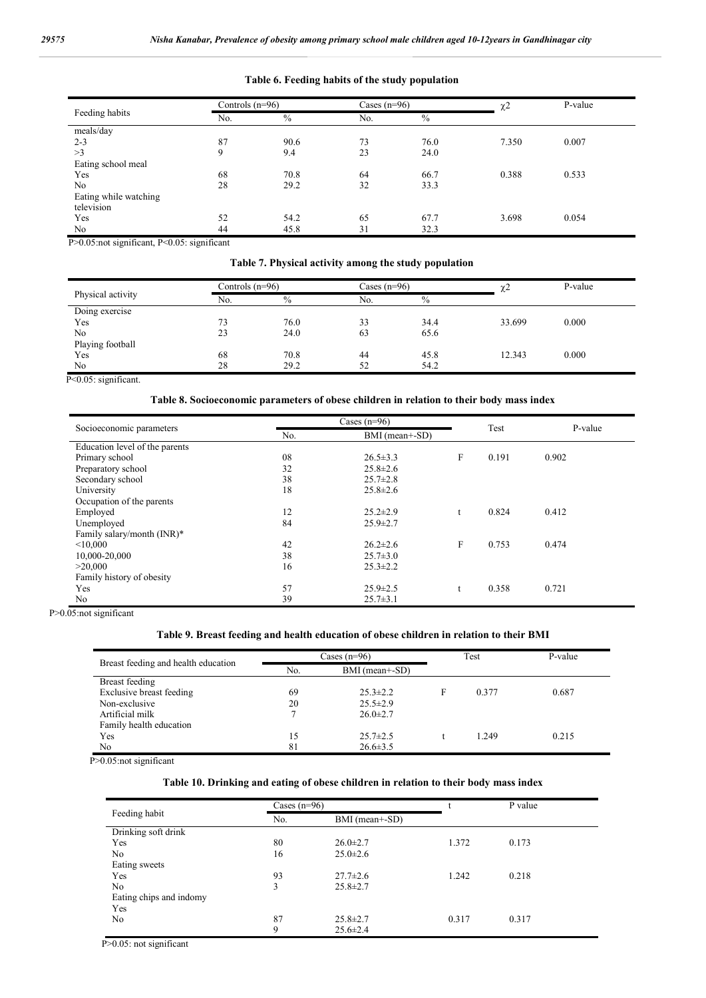#### **Table 6. Feeding habits of the study population**

|                       |     | Controls $(n=96)$ |     | Cases $(n=96)$ | $\chi$ 2 | P-value |
|-----------------------|-----|-------------------|-----|----------------|----------|---------|
| Feeding habits        | No. | $\%$              | No. | $\frac{0}{0}$  |          |         |
| meals/day             |     |                   |     |                |          |         |
| $2 - 3$               | 87  | 90.6              | 73  | 76.0           | 7.350    | 0.007   |
| >3                    | 9   | 9.4               | 23  | 24.0           |          |         |
| Eating school meal    |     |                   |     |                |          |         |
| Yes                   | 68  | 70.8              | 64  | 66.7           | 0.388    | 0.533   |
| No                    | 28  | 29.2              | 32  | 33.3           |          |         |
| Eating while watching |     |                   |     |                |          |         |
| television            |     |                   |     |                |          |         |
| Yes                   | 52  | 54.2              | 65  | 67.7           | 3.698    | 0.054   |
| No                    | 44  | 45.8              | 31  | 32.3           |          |         |

P>0.05:not significant, P<0.05: significant

**Table 7. Physical activity among the study population**

|                   |     | Controls $(n=96)$ |     | Cases $(n=96)$ |        | P-value |
|-------------------|-----|-------------------|-----|----------------|--------|---------|
| Physical activity | No. | $\frac{0}{0}$     | No. | $\frac{0}{0}$  |        |         |
| Doing exercise    |     |                   |     |                |        |         |
| Yes               | 73  | 76.0              | 33  | 34.4           | 33.699 | 0.000   |
| No                | 23  | 24.0              | 63  | 65.6           |        |         |
| Playing football  |     |                   |     |                |        |         |
| Yes               | 68  | 70.8              | 44  | 45.8           | 12.343 | 0.000   |
| No                | 28  | 29.2              | 52  | 54.2           |        |         |

P<0.05: significant.

## **Table 8. Socioeconomic parameters of obese children in relation to their body mass index**

|                                |     | Cases $(n=96)$ |   |       |         |  |
|--------------------------------|-----|----------------|---|-------|---------|--|
| Socioeconomic parameters       | No. | BMI (mean+-SD) |   | Test  | P-value |  |
| Education level of the parents |     |                |   |       |         |  |
| Primary school                 | 08  | $26.5 \pm 3.3$ | F | 0.191 | 0.902   |  |
| Preparatory school             | 32  | $25.8 \pm 2.6$ |   |       |         |  |
| Secondary school               | 38  | $25.7 \pm 2.8$ |   |       |         |  |
| University                     | 18  | $25.8 \pm 2.6$ |   |       |         |  |
| Occupation of the parents      |     |                |   |       |         |  |
| Employed                       | 12  | $25.2 \pm 2.9$ |   | 0.824 | 0.412   |  |
| Unemployed                     | 84  | $25.9 \pm 2.7$ |   |       |         |  |
| Family salary/month $(INR)^*$  |     |                |   |       |         |  |
| < 10,000                       | 42  | $26.2 \pm 2.6$ | F | 0.753 | 0.474   |  |
| 10,000-20,000                  | 38  | $25.7 \pm 3.0$ |   |       |         |  |
| >20,000                        | 16  | $25.3 \pm 2.2$ |   |       |         |  |
| Family history of obesity      |     |                |   |       |         |  |
| Yes                            | 57  | $25.9 \pm 2.5$ |   | 0.358 | 0.721   |  |
| No                             | 39  | $25.7 \pm 3.1$ |   |       |         |  |

P>0.05:not significant

#### **Table 9. Breast feeding and health education of obese children in relation to their BMI**

|                                     | Cases $(n=96)$        |                |   | Test  | P-value |
|-------------------------------------|-----------------------|----------------|---|-------|---------|
| Breast feeding and health education | No.<br>BMI (mean+-SD) |                |   |       |         |
| Breast feeding                      |                       |                |   |       |         |
| Exclusive breast feeding            | 69                    | $25.3 \pm 2.2$ | F | 0.377 | 0.687   |
| Non-exclusive                       | 20                    | $25.5 \pm 2.9$ |   |       |         |
| Artificial milk                     |                       | $26.0 \pm 2.7$ |   |       |         |
| Family health education             |                       |                |   |       |         |
| Yes                                 | 15                    | $25.7 \pm 2.5$ |   | 1.249 | 0.215   |
| N <sub>0</sub>                      | 81                    | $26.6 \pm 3.5$ |   |       |         |

P>0.05:not significant

## **Table 10. Drinking and eating of obese children in relation to their body mass index**

|                         | Cases $(n=96)$ |                |       | P value |  |
|-------------------------|----------------|----------------|-------|---------|--|
| Feeding habit           | No.            | BMI (mean+-SD) |       |         |  |
| Drinking soft drink     |                |                |       |         |  |
| Yes                     | 80             | $26.0 \pm 2.7$ | 1.372 | 0.173   |  |
| N <sub>0</sub>          | 16             | $25.0 \pm 2.6$ |       |         |  |
| Eating sweets           |                |                |       |         |  |
| Yes                     | 93             | $27.7 \pm 2.6$ | 1.242 | 0.218   |  |
| N <sub>0</sub>          | 3              | $25.8 \pm 2.7$ |       |         |  |
| Eating chips and indomy |                |                |       |         |  |
| Yes                     |                |                |       |         |  |
| N <sub>0</sub>          | 87             | $25.8 \pm 2.7$ | 0.317 | 0.317   |  |
|                         | 9              | $25.6 \pm 2.4$ |       |         |  |

P>0.05: not significant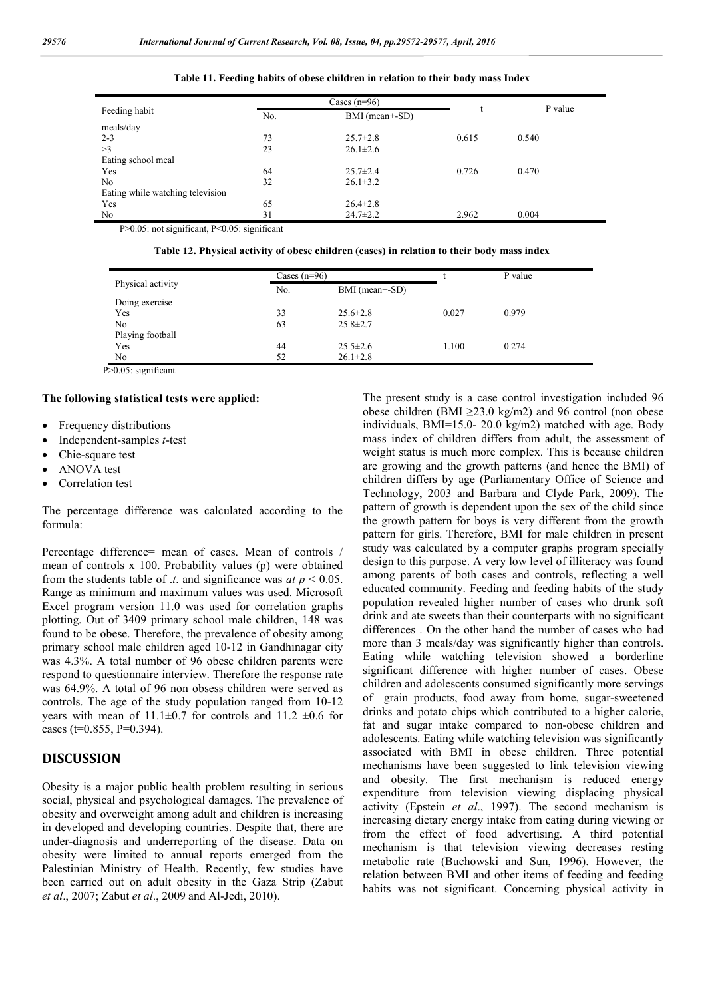| Feeding habit                    |     | Cases $(n=96)$ |       | P value |
|----------------------------------|-----|----------------|-------|---------|
|                                  | No. | BMI (mean+-SD) | t     |         |
| meals/day                        |     |                |       |         |
| $2 - 3$                          | 73  | $25.7 \pm 2.8$ | 0.615 | 0.540   |
| >3                               | 23  | $26.1 \pm 2.6$ |       |         |
| Eating school meal               |     |                |       |         |
| Yes                              | 64  | $25.7 \pm 2.4$ | 0.726 | 0.470   |
| N <sub>0</sub>                   | 32  | $26.1 \pm 3.2$ |       |         |
| Eating while watching television |     |                |       |         |
| Yes                              | 65  | $26.4 \pm 2.8$ |       |         |
| N <sub>0</sub>                   | 31  | $24.7 \pm 2.2$ | 2.962 | 0.004   |
|                                  |     |                |       |         |

**Table 11. Feeding habits of obese children in relation to their body mass Index**

P>0.05: not significant, P<0.05: significant

**Table 12. Physical activity of obese children (cases) in relation to their body mass index**

| Physical activity | Cases $(n=96)$ |                |       | P value |  |
|-------------------|----------------|----------------|-------|---------|--|
|                   | No.            | BMI (mean+-SD) |       |         |  |
| Doing exercise    |                |                |       |         |  |
| Yes               | 33             | $25.6 \pm 2.8$ | 0.027 | 0.979   |  |
| No                | 63             | $25.8 \pm 2.7$ |       |         |  |
| Playing football  |                |                |       |         |  |
| Yes               | 44             | $25.5 \pm 2.6$ | 1.100 | 0.274   |  |
| No                | 52             | $26.1 \pm 2.8$ |       |         |  |

P>0.05: significant

#### **The following statistical tests were applied:**

- Frequency distributions
- Independent-samples *t*-test
- Chie-square test
- ANOVA test
- Correlation test

The percentage difference was calculated according to the formula:

Percentage difference= mean of cases. Mean of controls / mean of controls x 100. Probability values (p) were obtained from the students table of  $\mu$ , and significance was  $at\ p \leq 0.05$ . Range as minimum and maximum values was used. Microsoft Excel program version 11.0 was used for correlation graphs plotting. Out of 3409 primary school male children, 148 was found to be obese. Therefore, the prevalence of obesity among primary school male children aged 10-12 in Gandhinagar city was 4.3%. A total number of 96 obese children parents were respond to questionnaire interview. Therefore the response rate was 64.9%. A total of 96 non obsess children were served as controls. The age of the study population ranged from 10-12 years with mean of  $11.1\pm0.7$  for controls and  $11.2 \pm0.6$  for cases ( $t=0.855$ ,  $P=0.394$ ).

# **DISCUSSION**

Obesity is a major public health problem resulting in serious social, physical and psychological damages. The prevalence of obesity and overweight among adult and children is increasing in developed and developing countries. Despite that, there are under-diagnosis and underreporting of the disease. Data on obesity were limited to annual reports emerged from the Palestinian Ministry of Health. Recently, few studies have been carried out on adult obesity in the Gaza Strip (Zabut *et al*., 2007; Zabut *et al*., 2009 and Al-Jedi, 2010).

The present study is a case control investigation included 96 obese children (BMI  $\geq$ 23.0 kg/m2) and 96 control (non obese individuals, BMI=15.0- 20.0 kg/m2) matched with age. Body mass index of children differs from adult, the assessment of weight status is much more complex. This is because children are growing and the growth patterns (and hence the BMI) of children differs by age (Parliamentary Office of Science and Technology, 2003 and Barbara and Clyde Park, 2009). The pattern of growth is dependent upon the sex of the child since the growth pattern for boys is very different from the growth pattern for girls. Therefore, BMI for male children in present study was calculated by a computer graphs program specially design to this purpose. A very low level of illiteracy was found among parents of both cases and controls, reflecting a well educated community. Feeding and feeding habits of the study population revealed higher number of cases who drunk soft drink and ate sweets than their counterparts with no significant differences . On the other hand the number of cases who had more than 3 meals/day was significantly higher than controls. Eating while watching television showed a borderline significant difference with higher number of cases. Obese children and adolescents consumed significantly more servings of grain products, food away from home, sugar-sweetened drinks and potato chips which contributed to a higher calorie, fat and sugar intake compared to non-obese children and adolescents. Eating while watching television was significantly associated with BMI in obese children. Three potential mechanisms have been suggested to link television viewing and obesity. The first mechanism is reduced energy expenditure from television viewing displacing physical activity (Epstein *et al*., 1997). The second mechanism is increasing dietary energy intake from eating during viewing or from the effect of food advertising. A third potential mechanism is that television viewing decreases resting metabolic rate (Buchowski and Sun, 1996). However, the relation between BMI and other items of feeding and feeding habits was not significant. Concerning physical activity in